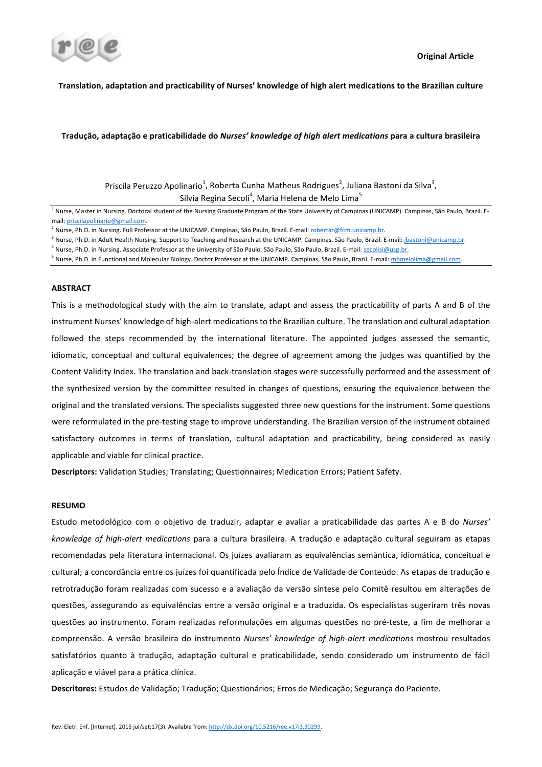

# Translation, adaptation and practicability of Nurses' knowledge of high alert medications to the Brazilian culture

## **Tradução, adaptação e praticabilidade do** *Nurses' knowledge of high alert medications* **para a cultura brasileira**

Priscila Peruzzo Apolinario<sup>1</sup>, Roberta Cunha Matheus Rodrigues<sup>2</sup>, Juliana Bastoni da Silva<sup>3</sup>, Silvia Regina Secoli $^4$ , Maria Helena de Melo Lima $^5$ 

<sup>1</sup> Nurse, Master in Nursing. Doctoral student of the Nursing Graduate Program of the State University of Campinas (UNICAMP). Campinas, São Paulo, Brazil. Email: priscilapolinario@gmail.com.

<sup>5</sup> Nurse, Ph.D. in Functional and Molecular Biology. Doctor Professor at the UNICAMP. Campinas, São Paulo, Brazil. E-mail: *mhmelolima@gmail.com*.

## **ABSTRACT**

This is a methodological study with the aim to translate, adapt and assess the practicability of parts A and B of the instrument Nurses' knowledge of high-alert medications to the Brazilian culture. The translation and cultural adaptation followed the steps recommended by the international literature. The appointed judges assessed the semantic, idiomatic, conceptual and cultural equivalences; the degree of agreement among the judges was quantified by the Content Validity Index. The translation and back-translation stages were successfully performed and the assessment of the synthesized version by the committee resulted in changes of questions, ensuring the equivalence between the original and the translated versions. The specialists suggested three new questions for the instrument. Some questions were reformulated in the pre-testing stage to improve understanding. The Brazilian version of the instrument obtained satisfactory outcomes in terms of translation, cultural adaptation and practicability, being considered as easily applicable and viable for clinical practice.

Descriptors: Validation Studies; Translating; Questionnaires; Medication Errors; Patient Safety.

# **RESUMO**

Estudo metodológico com o objetivo de traduzir, adaptar e avaliar a praticabilidade das partes A e B do *Nurses'* knowledge of high-alert medications para a cultura brasileira. A tradução e adaptação cultural seguiram as etapas recomendadas pela literatura internacional. Os juízes avaliaram as equivalências semântica, idiomática, conceitual e cultural; a concordância entre os juízes foi quantificada pelo Índice de Validade de Conteúdo. As etapas de tradução e retrotradução foram realizadas com sucesso e a avaliação da versão síntese pelo Comitê resultou em alterações de questões, assegurando as equivalências entre a versão original e a traduzida. Os especialistas sugeriram três novas questões ao instrumento. Foram realizadas reformulações em algumas questões no pré-teste, a fim de melhorar a compreensão. A versão brasileira do instrumento *Nurses' knowledge of high-alert medications* mostrou resultados satisfatórios quanto à tradução, adaptação cultural e praticabilidade, sendo considerado um instrumento de fácil aplicação e viável para a prática clínica.

Descritores: Estudos de Validação; Tradução; Questionários; Erros de Medicação; Segurança do Paciente.

<sup>&</sup>lt;sup>2</sup> Nurse, Ph.D. in Nursing. Full Professor at the UNICAMP. Campinas, São Paulo, Brazil. E-mail: robertar@fcm.unicamp.br.

<sup>&</sup>lt;sup>3</sup> Nurse, Ph.D. in Adult Health Nursing. Support to Teaching and Research at the UNICAMP. Campinas, São Paulo, Brazil. E-mail: jbastoni@unicamp.br.

<sup>&</sup>lt;sup>4</sup> Nurse, Ph.D. in Nursing. Associate Professor at the University of São Paulo. São Paulo, São Paulo, Brazil. E-mail: secolisi@usp.br.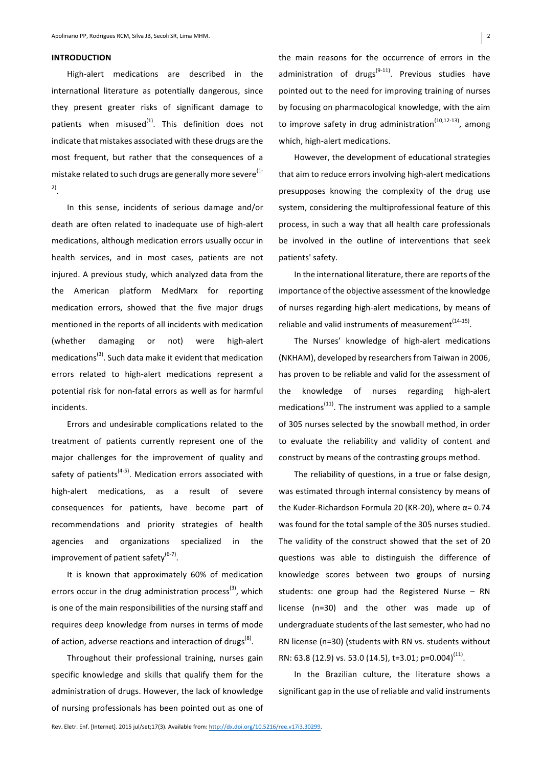## **INTRODUCTION**

High-alert medications are described in the international literature as potentially dangerous, since they present greater risks of significant damage to patients when misused $^{(1)}$ . This definition does not indicate that mistakes associated with these drugs are the most frequent, but rather that the consequences of a mistake related to such drugs are generally more severe<sup>(1-1)</sup> 2).

In this sense, incidents of serious damage and/or death are often related to inadequate use of high-alert medications, although medication errors usually occur in health services, and in most cases, patients are not injured. A previous study, which analyzed data from the the American platform MedMarx for reporting medication errors, showed that the five major drugs mentioned in the reports of all incidents with medication (whether damaging or not) were high-alert medications<sup>(3)</sup>. Such data make it evident that medication errors related to high-alert medications represent a potential risk for non-fatal errors as well as for harmful incidents.

Errors and undesirable complications related to the treatment of patients currently represent one of the major challenges for the improvement of quality and safety of patients<sup>(4-5)</sup>. Medication errors associated with high-alert medications, as a result of severe consequences for patients, have become part of recommendations and priority strategies of health agencies and organizations specialized in the improvement of patient safety<sup>(6-7)</sup>.

It is known that approximately 60% of medication errors occur in the drug administration process<sup>(3)</sup>, which is one of the main responsibilities of the nursing staff and requires deep knowledge from nurses in terms of mode of action, adverse reactions and interaction of drugs<sup>(8)</sup>.

Throughout their professional training, nurses gain specific knowledge and skills that qualify them for the administration of drugs. However, the lack of knowledge of nursing professionals has been pointed out as one of by focusing on pharmacological knowledge, with the aim to improve safety in drug administration<sup>(10,12-13)</sup>, among which, high-alert medications.

However, the development of educational strategies that aim to reduce errors involving high-alert medications presupposes knowing the complexity of the drug use system, considering the multiprofessional feature of this process, in such a way that all health care professionals be involved in the outline of interventions that seek patients' safety.

In the international literature, there are reports of the importance of the objective assessment of the knowledge of nurses regarding high-alert medications, by means of reliable and valid instruments of measurement $^{(14-15)}$ .

The Nurses' knowledge of high-alert medications (NKHAM), developed by researchers from Taiwan in 2006, has proven to be reliable and valid for the assessment of the knowledge of nurses regarding high-alert medications<sup> $(11)$ </sup>. The instrument was applied to a sample of 305 nurses selected by the snowball method, in order to evaluate the reliability and validity of content and construct by means of the contrasting groups method.

The reliability of questions, in a true or false design, was estimated through internal consistency by means of the Kuder-Richardson Formula 20 (KR-20), where  $\alpha$ = 0.74 was found for the total sample of the 305 nurses studied. The validity of the construct showed that the set of 20 questions was able to distinguish the difference of knowledge scores between two groups of nursing students: one group had the Registered Nurse  $-$  RN license (n=30) and the other was made up of undergraduate students of the last semester, who had no RN license (n=30) (students with RN vs. students without RN: 63.8 (12.9) vs. 53.0 (14.5), t=3.01;  $p=0.004$ <sup>(11)</sup>.

In the Brazilian culture, the literature shows a significant gap in the use of reliable and valid instruments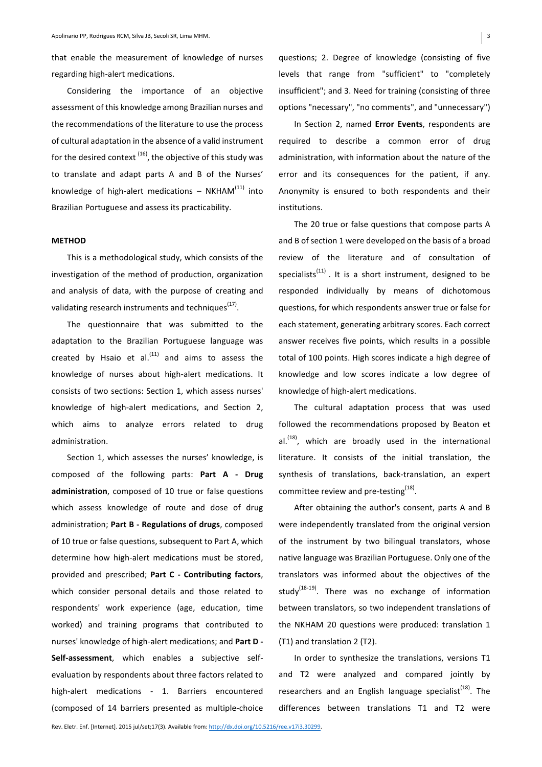that enable the measurement of knowledge of nurses regarding high-alert medications.

Considering the importance of an objective assessment of this knowledge among Brazilian nurses and the recommendations of the literature to use the process of cultural adaptation in the absence of a valid instrument for the desired context  $(16)$ , the objective of this study was to translate and adapt parts A and B of the Nurses' knowledge of high-alert medications  $-$  NKHAM<sup>(11)</sup> into Brazilian Portuguese and assess its practicability.

## **METHOD**

This is a methodological study, which consists of the investigation of the method of production, organization and analysis of data, with the purpose of creating and validating research instruments and techniques<sup>(17)</sup>.

The questionnaire that was submitted to the adaptation to the Brazilian Portuguese language was created by Hsaio et al. $^{(11)}$  and aims to assess the knowledge of nurses about high-alert medications. It consists of two sections: Section 1, which assess nurses' knowledge of high-alert medications, and Section 2, which aims to analyze errors related to drug administration. 

Section 1, which assesses the nurses' knowledge, is composed of the following parts: **Part A - Drug** administration, composed of 10 true or false questions which assess knowledge of route and dose of drug administration; **Part B - Regulations of drugs**, composed of 10 true or false questions, subsequent to Part A, which determine how high-alert medications must be stored, provided and prescribed; Part C - Contributing factors, which consider personal details and those related to respondents' work experience (age, education, time worked) and training programs that contributed to nurses' knowledge of high-alert medications; and Part D -**Self-assessment**, which enables a subjective selfevaluation by respondents about three factors related to high-alert medications - 1. Barriers encountered (composed of 14 barriers presented as multiple-choice 

questions; 2. Degree of knowledge (consisting of five levels that range from "sufficient" to "completely insufficient"; and 3. Need for training (consisting of three options "necessary", "no comments", and "unnecessary")

In Section 2, named Error Events, respondents are required to describe a common error of drug administration, with information about the nature of the error and its consequences for the patient, if any. Anonymity is ensured to both respondents and their institutions. 

The 20 true or false questions that compose parts A and B of section 1 were developed on the basis of a broad review of the literature and of consultation of specialists<sup>(11)</sup>. It is a short instrument, designed to be responded individually by means of dichotomous questions, for which respondents answer true or false for each statement, generating arbitrary scores. Each correct answer receives five points, which results in a possible total of 100 points. High scores indicate a high degree of knowledge and low scores indicate a low degree of knowledge of high-alert medications.

The cultural adaptation process that was used followed the recommendations proposed by Beaton et al. $^{(18)}$ , which are broadly used in the international literature. It consists of the initial translation, the synthesis of translations, back-translation, an expert committee review and pre-testing<sup>(18)</sup>.

After obtaining the author's consent, parts A and B were independently translated from the original version of the instrument by two bilingual translators, whose native language was Brazilian Portuguese. Only one of the translators was informed about the objectives of the study<sup>(18-19)</sup>. There was no exchange of information between translators, so two independent translations of the NKHAM 20 questions were produced: translation 1 (T1) and translation 2 (T2).

In order to synthesize the translations, versions T1 and T2 were analyzed and compared jointly by researchers and an English language specialist<sup> $(18)$ </sup>. The differences between translations T1 and T2 were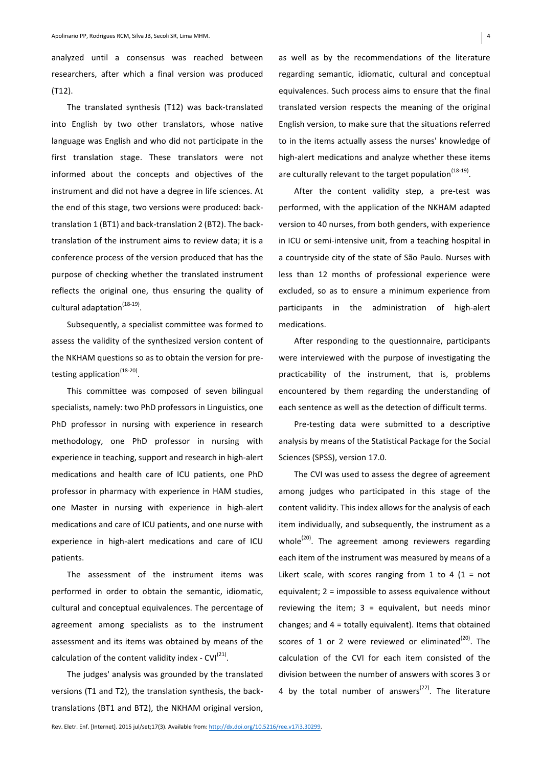analyzed until a consensus was reached between researchers, after which a final version was produced (T12).

The translated synthesis (T12) was back-translated into English by two other translators, whose native language was English and who did not participate in the first translation stage. These translators were not informed about the concepts and objectives of the instrument and did not have a degree in life sciences. At the end of this stage, two versions were produced: backtranslation 1 (BT1) and back-translation 2 (BT2). The backtranslation of the instrument aims to review data; it is a conference process of the version produced that has the purpose of checking whether the translated instrument reflects the original one, thus ensuring the quality of cultural adaptation $^{(18-19)}$ .

Subsequently, a specialist committee was formed to assess the validity of the synthesized version content of the NKHAM questions so as to obtain the version for pretesting application $(18-20)$ .

This committee was composed of seven bilingual specialists, namely: two PhD professors in Linguistics, one PhD professor in nursing with experience in research methodology, one PhD professor in nursing with experience in teaching, support and research in high-alert medications and health care of ICU patients, one PhD professor in pharmacy with experience in HAM studies, one Master in nursing with experience in high-alert medications and care of ICU patients, and one nurse with experience in high-alert medications and care of ICU patients.

The assessment of the instrument items was performed in order to obtain the semantic, idiomatic, cultural and conceptual equivalences. The percentage of agreement among specialists as to the instrument assessment and its items was obtained by means of the calculation of the content validity index - CVI $^{(21)}$ .

The judges' analysis was grounded by the translated versions (T1 and T2), the translation synthesis, the backtranslations (BT1 and BT2), the NKHAM original version, as well as by the recommendations of the literature regarding semantic, idiomatic, cultural and conceptual equivalences. Such process aims to ensure that the final translated version respects the meaning of the original English version, to make sure that the situations referred to in the items actually assess the nurses' knowledge of high-alert medications and analyze whether these items are culturally relevant to the target population<sup>(18-19)</sup>.

After the content validity step, a pre-test was performed, with the application of the NKHAM adapted version to 40 nurses, from both genders, with experience in ICU or semi-intensive unit, from a teaching hospital in a countryside city of the state of São Paulo. Nurses with less than 12 months of professional experience were excluded, so as to ensure a minimum experience from participants in the administration of high-alert medications. 

After responding to the questionnaire, participants were interviewed with the purpose of investigating the practicability of the instrument, that is, problems encountered by them regarding the understanding of each sentence as well as the detection of difficult terms.

Pre-testing data were submitted to a descriptive analysis by means of the Statistical Package for the Social Sciences (SPSS), version 17.0.

The CVI was used to assess the degree of agreement among judges who participated in this stage of the content validity. This index allows for the analysis of each item individually, and subsequently, the instrument as a whole<sup>(20)</sup>. The agreement among reviewers regarding each item of the instrument was measured by means of a Likert scale, with scores ranging from 1 to 4 (1 = not equivalent;  $2 =$  impossible to assess equivalence without reviewing the item;  $3 =$  equivalent, but needs minor changes; and  $4 =$  totally equivalent). Items that obtained scores of 1 or 2 were reviewed or eliminated $(20)$ . The calculation of the CVI for each item consisted of the division between the number of answers with scores 3 or 4 by the total number of answers<sup>(22)</sup>. The literature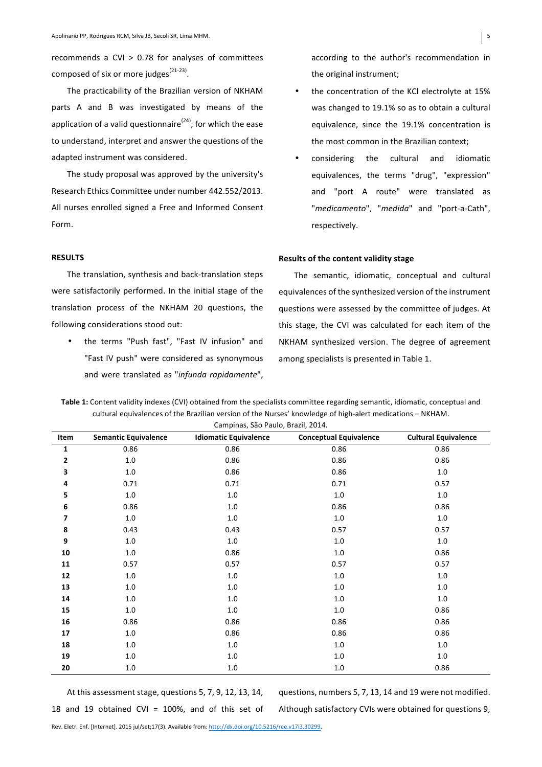recommends a CVI  $> 0.78$  for analyses of committees composed of six or more judges $(21-23)$ .

The practicability of the Brazilian version of NKHAM parts A and B was investigated by means of the application of a valid questionnaire<sup>(24)</sup>, for which the ease to understand, interpret and answer the questions of the adapted instrument was considered.

The study proposal was approved by the university's Research Ethics Committee under number 442.552/2013. All nurses enrolled signed a Free and Informed Consent Form. 

## **RESULTS**

The translation, synthesis and back-translation steps were satisfactorily performed. In the initial stage of the translation process of the NKHAM 20 questions, the following considerations stood out:

• the terms "Push fast", "Fast IV infusion" and "Fast IV push" were considered as synonymous and were translated as "infunda rapidamente", according to the author's recommendation in the original instrument;

- the concentration of the KCl electrolyte at 15% was changed to 19.1% so as to obtain a cultural equivalence, since the 19.1% concentration is the most common in the Brazilian context:
- considering the cultural and idiomatic equivalences, the terms "drug", "expression" and "port A route" were translated as "*medicamento*", "*medida*" and "port-a-Cath", respectively.

## **Results of the content validity stage**

The semantic, idiomatic, conceptual and cultural equivalences of the synthesized version of the instrument questions were assessed by the committee of judges. At this stage, the CVI was calculated for each item of the NKHAM synthesized version. The degree of agreement among specialists is presented in Table 1.

Table 1: Content validity indexes (CVI) obtained from the specialists committee regarding semantic, idiomatic, conceptual and cultural equivalences of the Brazilian version of the Nurses' knowledge of high-alert medications - NKHAM.

| Item        | <b>Semantic Equivalence</b> | <b>Idiomatic Equivalence</b> | <b>Conceptual Equivalence</b> | <b>Cultural Equivalence</b> |
|-------------|-----------------------------|------------------------------|-------------------------------|-----------------------------|
| $\mathbf 1$ | 0.86                        | 0.86                         | 0.86                          | 0.86                        |
| 2           | 1.0                         | 0.86                         | 0.86                          | 0.86                        |
| 3           | 1.0                         | 0.86                         | 0.86                          | $1.0\,$                     |
| 4           | 0.71                        | 0.71                         | 0.71                          | 0.57                        |
| 5           | 1.0                         | $1.0\,$                      | $1.0\,$                       | $1.0\,$                     |
| 6           | 0.86                        | $1.0\,$                      | 0.86                          | 0.86                        |
| 7           | 1.0                         | 1.0                          | $1.0\,$                       | $1.0\,$                     |
| 8           | 0.43                        | 0.43                         | 0.57                          | 0.57                        |
| 9           | $1.0\,$                     | $1.0\,$                      | $1.0\,$                       | $1.0\,$                     |
| 10          | $1.0\,$                     | 0.86                         | $1.0\,$                       | 0.86                        |
| 11          | 0.57                        | 0.57                         | 0.57                          | 0.57                        |
| 12          | 1.0                         | $1.0\,$                      | $1.0\,$                       | 1.0                         |
| 13          | 1.0                         | $1.0\,$                      | $1.0\,$                       | $1.0\,$                     |
| 14          | $1.0\,$                     | $1.0\,$                      | $1.0\,$                       | $1.0\,$                     |
| 15          | 1.0                         | 1.0                          | 1.0                           | 0.86                        |
| 16          | 0.86                        | 0.86                         | 0.86                          | 0.86                        |
| 17          | 1.0                         | 0.86                         | 0.86                          | 0.86                        |
| 18          | $1.0\,$                     | $1.0\,$                      | $1.0\,$                       | $1.0\,$                     |
| 19          | $1.0\,$                     | $1.0\,$                      | $1.0\,$                       | $1.0\,$                     |
| 20          | 1.0                         | $1.0\,$                      | 1.0                           | 0.86                        |

Campinas, São Paulo, Brazil, 2014.

At this assessment stage, questions 5, 7, 9, 12, 13, 14, 18 and 19 obtained CVI = 100%, and of this set of questions, numbers 5, 7, 13, 14 and 19 were not modified.

Although satisfactory CVIs were obtained for questions 9,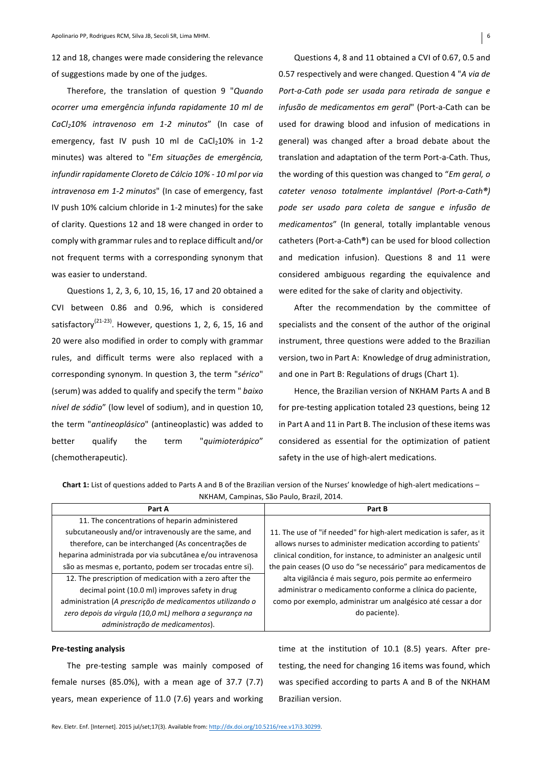12 and 18, changes were made considering the relevance of suggestions made by one of the judges.

Therefore, the translation of question 9 "*Quando ocorrer uma emergência infunda rapidamente 10 ml de*  CaCl<sub>2</sub>10% intravenoso em 1-2 minutos" (In case of emergency, fast IV push 10 ml de  $CaCl<sub>2</sub>10%$  in 1-2 minutes) was altered to "*Em situações de emergência, infundir rapidamente Cloreto de Cálcio* 10% - 10 ml por via intravenosa em 1-2 minutos" (In case of emergency, fast IV push 10% calcium chloride in 1-2 minutes) for the sake of clarity. Questions 12 and 18 were changed in order to comply with grammar rules and to replace difficult and/or not frequent terms with a corresponding synonym that was easier to understand.

Questions 1, 2, 3, 6, 10, 15, 16, 17 and 20 obtained a CVI between 0.86 and 0.96, which is considered satisfactory<sup>(21-23)</sup>. However, questions 1, 2, 6, 15, 16 and 20 were also modified in order to comply with grammar rules, and difficult terms were also replaced with a corresponding synonym. In question 3, the term "*sérico*" (serum) was added to qualify and specify the term " *baixo nível de sódio"* (low level of sodium), and in question 10, the term "*antineoplásico*" (antineoplastic) was added to better qualify the term "*quimioterápico"* (chemotherapeutic).

Questions 4, 8 and 11 obtained a CVI of 0.67, 0.5 and 0.57 respectively and were changed. Question 4 "A via de Port-a-Cath pode ser usada para retirada de sangue e *infusão de medicamentos em geral*" (Port-a-Cath can be used for drawing blood and infusion of medications in general) was changed after a broad debate about the translation and adaptation of the term Port-a-Cath. Thus, the wording of this question was changed to "*Em geral, o cateter venoso totalmente implantável (Port-a-Cath®) pode ser usado para coleta de sangue e infusão de medicamentos"* (In general, totally implantable venous catheters (Port-a-Cath®) can be used for blood collection and medication infusion). Questions 8 and 11 were considered ambiguous regarding the equivalence and were edited for the sake of clarity and objectivity.

After the recommendation by the committee of specialists and the consent of the author of the original instrument, three questions were added to the Brazilian version, two in Part A: Knowledge of drug administration, and one in Part B: Regulations of drugs (Chart 1).

Hence, the Brazilian version of NKHAM Parts A and B for pre-testing application totaled 23 questions, being 12 in Part A and 11 in Part B. The inclusion of these items was considered as essential for the optimization of patient safety in the use of high-alert medications.

**Chart 1:** List of questions added to Parts A and B of the Brazilian version of the Nurses' knowledge of high-alert medications – NKHAM, Campinas, São Paulo, Brazil, 2014.

| Part A                                                    | Part B                                                               |
|-----------------------------------------------------------|----------------------------------------------------------------------|
| 11. The concentrations of heparin administered            |                                                                      |
| subcutaneously and/or intravenously are the same, and     | 11. The use of "if needed" for high-alert medication is safer, as it |
| therefore, can be interchanged (As concentrações de       | allows nurses to administer medication according to patients'        |
| heparina administrada por via subcutânea e/ou intravenosa | clinical condition, for instance, to administer an analgesic until   |
| são as mesmas e, portanto, podem ser trocadas entre si).  | the pain ceases (O uso do "se necessário" para medicamentos de       |
| 12. The prescription of medication with a zero after the  | alta vigilância é mais seguro, pois permite ao enfermeiro            |
| decimal point (10.0 ml) improves safety in drug           | administrar o medicamento conforme a clínica do paciente,            |
| administration (A prescrição de medicamentos utilizando o | como por exemplo, administrar um analgésico até cessar a dor         |
| zero depois da vírgula (10,0 mL) melhora a segurança na   | do paciente).                                                        |
| administração de medicamentos).                           |                                                                      |

#### **Pre-testing analysis**

The pre-testing sample was mainly composed of female nurses  $(85.0\%)$ , with a mean age of 37.7  $(7.7)$ years, mean experience of 11.0 (7.6) years and working

time at the institution of  $10.1$  (8.5) years. After pretesting, the need for changing 16 items was found, which was specified according to parts A and B of the NKHAM Brazilian version.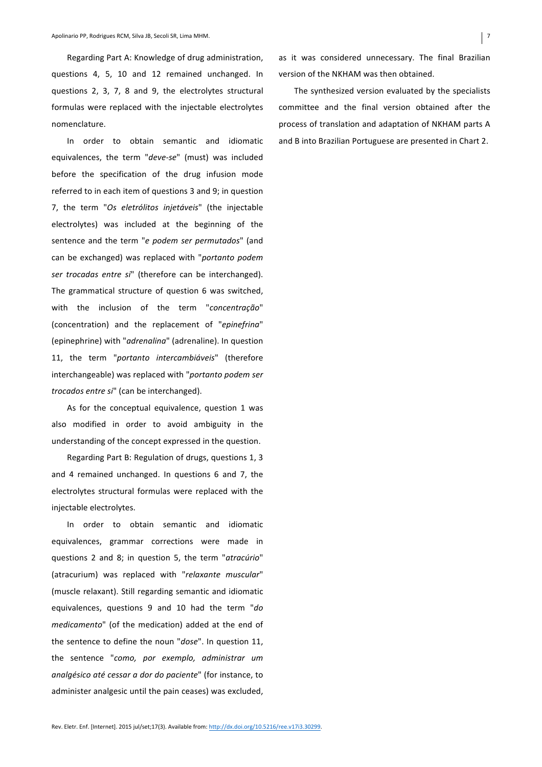Regarding Part A: Knowledge of drug administration, questions 4, 5, 10 and 12 remained unchanged. In questions 2, 3, 7, 8 and 9, the electrolytes structural formulas were replaced with the injectable electrolytes nomenclature. 

In order to obtain semantic and idiomatic equivalences, the term "*deve-se*" (must) was included before the specification of the drug infusion mode referred to in each item of questions 3 and 9; in question 7, the term "Os eletrólitos injetáveis" (the injectable electrolytes) was included at the beginning of the sentence and the term "e podem ser permutados" (and can be exchanged) was replaced with "*portanto podem ser trocadas entre si*" (therefore can be interchanged). The grammatical structure of question 6 was switched, with the inclusion of the term "concentração" (concentration) and the replacement of "*epinefrina*" (epinephrine) with "*adrenalina*" (adrenaline). In question 11, the term "portanto intercambiáveis" (therefore interchangeable) was replaced with "*portanto podem ser* trocados entre si" (can be interchanged).

As for the conceptual equivalence, question 1 was also modified in order to avoid ambiguity in the understanding of the concept expressed in the question.

Regarding Part B: Regulation of drugs, questions 1, 3 and 4 remained unchanged. In questions 6 and 7, the electrolytes structural formulas were replaced with the injectable electrolytes.

In order to obtain semantic and idiomatic equivalences, grammar corrections were made in questions 2 and 8; in question 5, the term "atracúrio" (atracurium) was replaced with "*relaxante muscular*" (muscle relaxant). Still regarding semantic and idiomatic equivalences, questions 9 and 10 had the term "*do medicamento*" (of the medication) added at the end of the sentence to define the noun "*dose*". In question 11, the sentence "como, por exemplo, administrar um *analgésico até cessar a dor do paciente*" (for instance, to administer analgesic until the pain ceases) was excluded, as it was considered unnecessary. The final Brazilian version of the NKHAM was then obtained.

The synthesized version evaluated by the specialists committee and the final version obtained after the process of translation and adaptation of NKHAM parts A and B into Brazilian Portuguese are presented in Chart 2.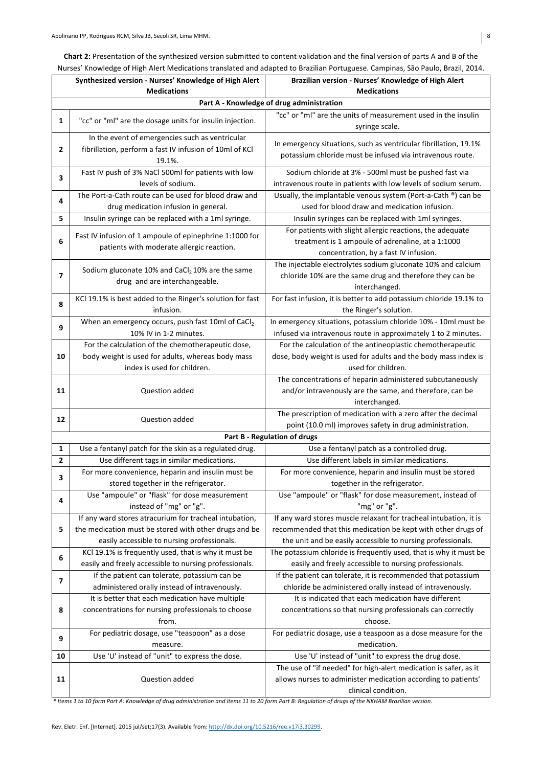Chart 2: Presentation of the synthesized version submitted to content validation and the final version of parts A and B of the Nurses' Knowledge of High Alert Medications translated and adapted to Brazilian Portuguese. Campinas, São Paulo, Brazil, 2014.

|    | Synthesized version - Nurses' Knowledge of High Alert     | Brazilian version - Nurses' Knowledge of High Alert                |  |  |  |  |
|----|-----------------------------------------------------------|--------------------------------------------------------------------|--|--|--|--|
|    | <b>Medications</b>                                        | <b>Medications</b>                                                 |  |  |  |  |
|    | Part A - Knowledge of drug administration                 |                                                                    |  |  |  |  |
|    |                                                           | "cc" or "ml" are the units of measurement used in the insulin      |  |  |  |  |
| 1  | "cc" or "ml" are the dosage units for insulin injection.  | syringe scale.                                                     |  |  |  |  |
|    | In the event of emergencies such as ventricular           | In emergency situations, such as ventricular fibrillation, 19.1%   |  |  |  |  |
| 2  | fibrillation, perform a fast IV infusion of 10ml of KCl   | potassium chloride must be infused via intravenous route.          |  |  |  |  |
|    | 19.1%.                                                    |                                                                    |  |  |  |  |
| 3  | Fast IV push of 3% NaCl 500ml for patients with low       | Sodium chloride at 3% - 500ml must be pushed fast via              |  |  |  |  |
|    | levels of sodium.                                         | intravenous route in patients with low levels of sodium serum.     |  |  |  |  |
| 4  | The Port-a-Cath route can be used for blood draw and      | Usually, the implantable venous system (Port-a-Cath ®) can be      |  |  |  |  |
|    | drug medication infusion in general.                      | used for blood draw and medication infusion.                       |  |  |  |  |
| 5  | Insulin syringe can be replaced with a 1ml syringe.       | Insulin syringes can be replaced with 1ml syringes.                |  |  |  |  |
| 6  | Fast IV infusion of 1 ampoule of epinephrine 1:1000 for   | For patients with slight allergic reactions, the adequate          |  |  |  |  |
|    |                                                           | treatment is 1 ampoule of adrenaline, at a 1:1000                  |  |  |  |  |
|    | patients with moderate allergic reaction.                 | concentration, by a fast IV infusion.                              |  |  |  |  |
|    |                                                           | The injectable electrolytes sodium gluconate 10% and calcium       |  |  |  |  |
| 7  | Sodium gluconate 10% and $CaCl2$ 10% are the same         | chloride 10% are the same drug and therefore they can be           |  |  |  |  |
|    | drug and are interchangeable.                             | interchanged.                                                      |  |  |  |  |
| 8  | KCl 19.1% is best added to the Ringer's solution for fast | For fast infusion, it is better to add potassium chloride 19.1% to |  |  |  |  |
|    | infusion.                                                 | the Ringer's solution.                                             |  |  |  |  |
| 9  | When an emergency occurs, push fast 10ml of CaCl2         | In emergency situations, potassium chloride 10% - 10ml must be     |  |  |  |  |
|    | 10% IV in 1-2 minutes.                                    | infused via intravenous route in approximately 1 to 2 minutes.     |  |  |  |  |
|    | For the calculation of the chemotherapeutic dose,         | For the calculation of the antineoplastic chemotherapeutic         |  |  |  |  |
| 10 | body weight is used for adults, whereas body mass         | dose, body weight is used for adults and the body mass index is    |  |  |  |  |
|    | index is used for children.                               | used for children.                                                 |  |  |  |  |
|    |                                                           | The concentrations of heparin administered subcutaneously          |  |  |  |  |
| 11 | Question added                                            | and/or intravenously are the same, and therefore, can be           |  |  |  |  |
|    |                                                           | interchanged.                                                      |  |  |  |  |
| 12 | Question added                                            | The prescription of medication with a zero after the decimal       |  |  |  |  |
|    |                                                           | point (10.0 ml) improves safety in drug administration.            |  |  |  |  |
|    |                                                           | Part B - Regulation of drugs                                       |  |  |  |  |
| 1  | Use a fentanyl patch for the skin as a regulated drug.    | Use a fentanyl patch as a controlled drug.                         |  |  |  |  |
| 2  | Use different tags in similar medications.                | Use different labels in similar medications.                       |  |  |  |  |
| 3  | For more convenience, heparin and insulin must be         | For more convenience, heparin and insulin must be stored           |  |  |  |  |
|    | stored together in the refrigerator.                      | together in the refrigerator.                                      |  |  |  |  |
| 4  | Use "ampoule" or "flask" for dose measurement             | Use "ampoule" or "flask" for dose measurement, instead of          |  |  |  |  |
|    | instead of "mg" or "g".                                   | "mg" or "g".                                                       |  |  |  |  |
|    | If any ward stores atracurium for tracheal intubation,    | If any ward stores muscle relaxant for tracheal intubation, it is  |  |  |  |  |
| 5  | the medication must be stored with other drugs and be     | recommended that this medication be kept with other drugs of       |  |  |  |  |
|    | easily accessible to nursing professionals.               | the unit and be easily accessible to nursing professionals.        |  |  |  |  |
| 6  | KCl 19.1% is frequently used, that is why it must be      | The potassium chloride is frequently used, that is why it must be  |  |  |  |  |
|    | easily and freely accessible to nursing professionals.    | easily and freely accessible to nursing professionals.             |  |  |  |  |
| 7  | If the patient can tolerate, potassium can be             | If the patient can tolerate, it is recommended that potassium      |  |  |  |  |
|    | administered orally instead of intravenously.             | chloride be administered orally instead of intravenously.          |  |  |  |  |
|    | It is better that each medication have multiple           | It is indicated that each medication have different                |  |  |  |  |
| 8  | concentrations for nursing professionals to choose        | concentrations so that nursing professionals can correctly         |  |  |  |  |
|    | from.                                                     | choose.                                                            |  |  |  |  |
| 9  | For pediatric dosage, use "teaspoon" as a dose            | For pediatric dosage, use a teaspoon as a dose measure for the     |  |  |  |  |
|    | measure.                                                  | medication.                                                        |  |  |  |  |
| 10 | Use 'U' instead of "unit" to express the dose.            | Use 'U' instead of "unit" to express the drug dose.                |  |  |  |  |
|    |                                                           | The use of "if needed" for high-alert medication is safer, as it   |  |  |  |  |
| 11 | Question added                                            | allows nurses to administer medication according to patients'      |  |  |  |  |
|    |                                                           | clinical condition.                                                |  |  |  |  |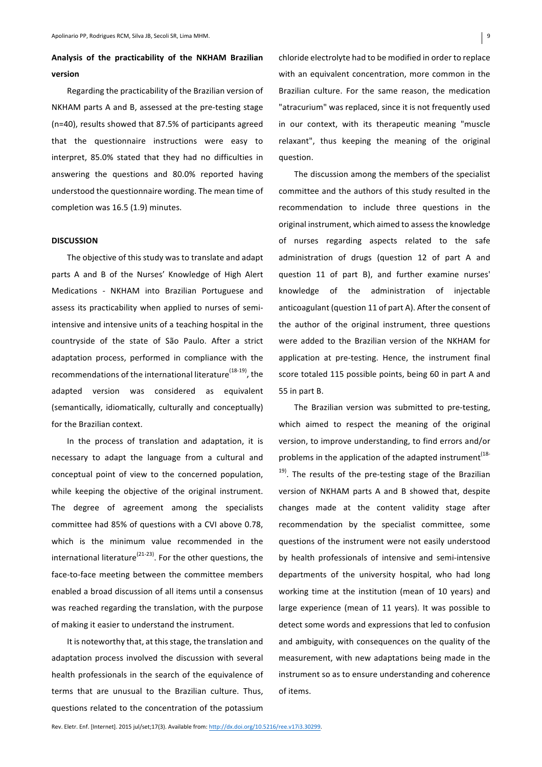# Analysis of the practicability of the NKHAM Brazilian **version**

Regarding the practicability of the Brazilian version of NKHAM parts A and B, assessed at the pre-testing stage (n=40), results showed that 87.5% of participants agreed that the questionnaire instructions were easy to interpret, 85.0% stated that they had no difficulties in answering the questions and 80.0% reported having understood the questionnaire wording. The mean time of completion was 16.5 (1.9) minutes.

## **DISCUSSION**

The objective of this study was to translate and adapt parts A and B of the Nurses' Knowledge of High Alert Medications *-* NKHAM into Brazilian Portuguese and assess its practicability when applied to nurses of semiintensive and intensive units of a teaching hospital in the countryside of the state of São Paulo. After a strict adaptation process, performed in compliance with the recommendations of the international literature<sup>(18-19)</sup>, the adapted version was considered as equivalent (semantically, idiomatically, culturally and conceptually) for the Brazilian context.

In the process of translation and adaptation, it is necessary to adapt the language from a cultural and conceptual point of view to the concerned population, while keeping the objective of the original instrument. The degree of agreement among the specialists committee had 85% of questions with a CVI above 0.78, which is the minimum value recommended in the international literature<sup>(21-23)</sup>. For the other questions, the face-to-face meeting between the committee members enabled a broad discussion of all items until a consensus was reached regarding the translation, with the purpose of making it easier to understand the instrument.

It is noteworthy that, at this stage, the translation and adaptation process involved the discussion with several health professionals in the search of the equivalence of terms that are unusual to the Brazilian culture. Thus, questions related to the concentration of the potassium

chloride electrolyte had to be modified in order to replace with an equivalent concentration, more common in the Brazilian culture. For the same reason, the medication "atracurium" was replaced, since it is not frequently used in our context, with its therapeutic meaning "muscle relaxant", thus keeping the meaning of the original question. 

The discussion among the members of the specialist committee and the authors of this study resulted in the recommendation to include three questions in the original instrument, which aimed to assess the knowledge of nurses regarding aspects related to the safe administration of drugs (question 12 of part A and question 11 of part B), and further examine nurses' knowledge of the administration of injectable anticoagulant (question 11 of part A). After the consent of the author of the original instrument, three questions were added to the Brazilian version of the NKHAM for application at pre-testing. Hence, the instrument final score totaled 115 possible points, being 60 in part A and 55 in part B.

The Brazilian version was submitted to pre-testing, which aimed to respect the meaning of the original version, to improve understanding, to find errors and/or problems in the application of the adapted instrument  $(18-p)$  $19)$ . The results of the pre-testing stage of the Brazilian version of NKHAM parts A and B showed that, despite changes made at the content validity stage after recommendation by the specialist committee, some questions of the instrument were not easily understood by health professionals of intensive and semi-intensive departments of the university hospital, who had long working time at the institution (mean of 10 years) and large experience (mean of 11 years). It was possible to detect some words and expressions that led to confusion and ambiguity, with consequences on the quality of the measurement, with new adaptations being made in the instrument so as to ensure understanding and coherence of items.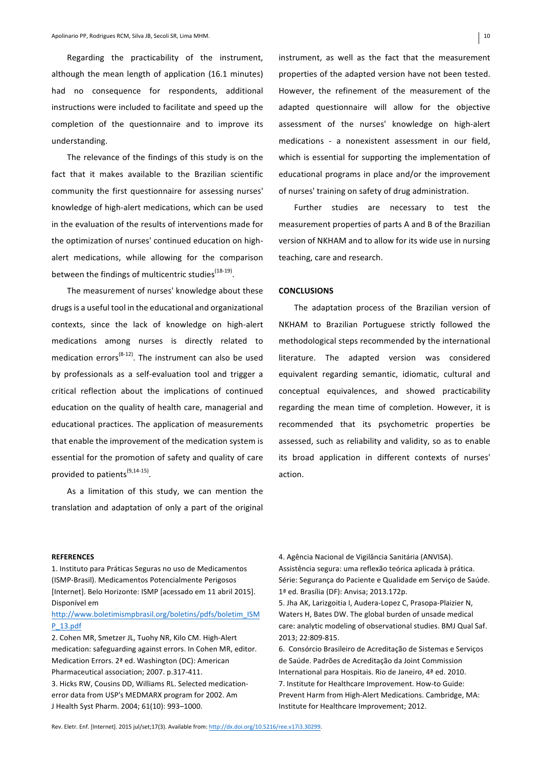Regarding the practicability of the instrument, although the mean length of application (16.1 minutes) had no consequence for respondents, additional instructions were included to facilitate and speed up the completion of the questionnaire and to improve its understanding. 

The relevance of the findings of this study is on the fact that it makes available to the Brazilian scientific community the first questionnaire for assessing nurses' knowledge of high-alert medications, which can be used in the evaluation of the results of interventions made for the optimization of nurses' continued education on highalert medications, while allowing for the comparison between the findings of multicentric studies<sup>(18-19)</sup>.

The measurement of nurses' knowledge about these drugs is a useful tool in the educational and organizational contexts, since the lack of knowledge on high-alert medications among nurses is directly related to medication errors<sup>(8-12)</sup>. The instrument can also be used by professionals as a self-evaluation tool and trigger a critical reflection about the implications of continued education on the quality of health care, managerial and educational practices. The application of measurements that enable the improvement of the medication system is essential for the promotion of safety and quality of care provided to patients<sup>(9,14-15)</sup>.

As a limitation of this study, we can mention the translation and adaptation of only a part of the original instrument, as well as the fact that the measurement properties of the adapted version have not been tested. However, the refinement of the measurement of the adapted questionnaire will allow for the objective assessment of the nurses' knowledge on high-alert medications - a nonexistent assessment in our field, which is essential for supporting the implementation of educational programs in place and/or the improvement of nurses' training on safety of drug administration.

Further studies are necessary to test the measurement properties of parts A and B of the Brazilian version of NKHAM and to allow for its wide use in nursing teaching, care and research.

## **CONCLUSIONS**

The adaptation process of the Brazilian version of NKHAM to Brazilian Portuguese strictly followed the methodological steps recommended by the international literature. The adapted version was considered equivalent regarding semantic, idiomatic, cultural and conceptual equivalences, and showed practicability regarding the mean time of completion. However, it is recommended that its psychometric properties be assessed, such as reliability and validity, so as to enable its broad application in different contexts of nurses' action.

#### **REFERENCES**

1. Instituto para Práticas Seguras no uso de Medicamentos (ISMP-Brasil). Medicamentos Potencialmente Perigosos [Internet]. Belo Horizonte: ISMP [acessado em 11 abril 2015]. Disponível em

# http://www.boletimismpbrasil.org/boletins/pdfs/boletim\_ISM P\_13.pdf

2. Cohen MR, Smetzer JL, Tuohy NR, Kilo CM. High-Alert medication: safeguarding against errors. In Cohen MR, editor. Medication Errors. 2<sup>ª</sup> ed. Washington (DC): American Pharmaceutical association; 2007. p.317-411. 3. Hicks RW, Cousins DD, Williams RL. Selected medicationerror data from USP's MEDMARX program for 2002. Am J Health Syst Pharm. 2004; 61(10): 993-1000.

4. Agência Nacional de Vigilância Sanitária (ANVISA). Assistência segura: uma reflexão teórica aplicada à prática. Série: Segurança do Paciente e Qualidade em Serviço de Saúde. 1ª ed. Brasília (DF): Anvisa; 2013.172p.

5. Jha AK, Larizgoitia I, Audera-Lopez C, Prasopa-Plaizier N, Waters H, Bates DW. The global burden of unsade medical care: analytic modeling of observational studies. BMJ Qual Saf. 2013; 22:809-815.

6. Consórcio Brasileiro de Acreditação de Sistemas e Serviços de Saúde. Padrões de Acreditação da Joint Commission International para Hospitais. Rio de Janeiro, 4ª ed. 2010. 7. Institute for Healthcare Improvement. How-to Guide: Prevent Harm from High-Alert Medications. Cambridge, MA: Institute for Healthcare Improvement; 2012.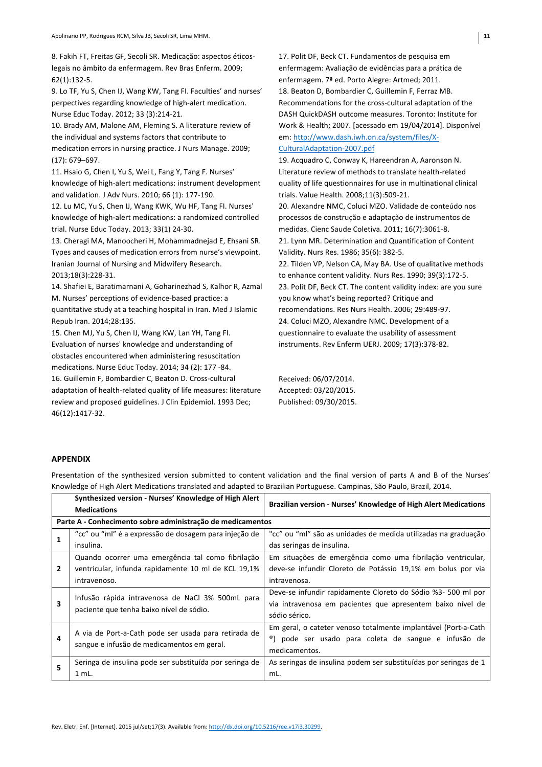8. Fakih FT, Freitas GF, Secoli SR. Medicação: aspectos éticoslegais no âmbito da enfermagem. Rev Bras Enferm. 2009; 62(1):132-5.

9. Lo TF, Yu S, Chen IJ, Wang KW, Tang FI. Faculties' and nurses' perpectives regarding knowledge of high-alert medication. Nurse Educ Today. 2012; 33 (3):214-21.

10. Brady AM, Malone AM, Fleming S. A literature review of the individual and systems factors that contribute to medication errors in nursing practice. J Nurs Manage. 2009:  $(17): 679 - 697.$ 

11. Hsaio G, Chen I, Yu S, Wei L, Fang Y, Tang F. Nurses' knowledge of high-alert medications: instrument development and validation. J Adv Nurs. 2010; 66 (1): 177-190.

12. Lu MC, Yu S, Chen IJ, Wang KWK, Wu HF, Tang FI. Nurses' knowledge of high-alert medications: a randomized controlled trial. Nurse Educ Today. 2013; 33(1) 24-30.

13. Cheragi MA, Manoocheri H, Mohammadnejad E, Ehsani SR. Types and causes of medication errors from nurse's viewpoint. Iranian Journal of Nursing and Midwifery Research. 2013;18(3):228-31.

14. Shafiei E, Baratimarnani A, Goharinezhad S, Kalhor R, Azmal M. Nurses' perceptions of evidence-based practice: a quantitative study at a teaching hospital in Iran. Med J Islamic Repub Iran. 2014;28:135.

15. Chen MJ, Yu S, Chen IJ, Wang KW, Lan YH, Tang FI. Evaluation of nurses' knowledge and understanding of obstacles encountered when administering resuscitation medications. Nurse Educ Today. 2014; 34 (2): 177 -84. 16. Guillemin F. Bombardier C. Beaton D. Cross-cultural adaptation of health-related quality of life measures: literature review and proposed guidelines. J Clin Epidemiol. 1993 Dec; 46(12):1417-32.

17. Polit DF, Beck CT. Fundamentos de pesquisa em enfermagem: Avaliação de evidências para a prática de enfermagem. 7ª ed. Porto Alegre: Artmed; 2011. 18. Beaton D, Bombardier C, Guillemin F, Ferraz MB. Recommendations for the cross-cultural adaptation of the DASH QuickDASH outcome measures. Toronto: Institute for Work & Health; 2007. [acessado em 19/04/2014]. Disponível em: http://www.dash.iwh.on.ca/system/files/X-CulturalAdaptation-2007.pdf

19. Acquadro C, Conway K, Hareendran A, Aaronson N. Literature review of methods to translate health-related quality of life questionnaires for use in multinational clinical trials. Value Health. 2008;11(3):509-21. 20. Alexandre NMC, Coluci MZO. Validade de conteúdo nos processos de construção e adaptação de instrumentos de medidas. Cienc Saude Coletiva. 2011; 16(7):3061-8. 21. Lynn MR. Determination and Quantification of Content Validity. Nurs Res. 1986; 35(6): 382-5. 22. Tilden VP, Nelson CA, May BA. Use of qualitative methods to enhance content validity. Nurs Res. 1990; 39(3):172-5. 23. Polit DF, Beck CT. The content validity index: are you sure you know what's being reported? Critique and recomendations. Res Nurs Health. 2006: 29:489-97. 24. Coluci MZO, Alexandre NMC. Development of a questionnaire to evaluate the usability of assessment instruments. Rev Enferm UERJ. 2009; 17(3):378-82.

Received: 06/07/2014. Accepted: 03/20/2015. Published: 09/30/2015.

## **APPENDIX**

Presentation of the synthesized version submitted to content validation and the final version of parts A and B of the Nurses' Knowledge of High Alert Medications translated and adapted to Brazilian Portuguese. Campinas, São Paulo, Brazil, 2014. Synthesized version - Nurses' Knowledge of High Alert | **Medications Brazilian version - Nurses' Knowledge of High Alert Medications**

| <b>Medications</b>                                         |                                                         | Brazilian version - Nurses' Knowledge of High Alert Medications  |  |  |
|------------------------------------------------------------|---------------------------------------------------------|------------------------------------------------------------------|--|--|
| Parte A - Conhecimento sobre administração de medicamentos |                                                         |                                                                  |  |  |
| 1                                                          | "cc" ou "ml" é a expressão de dosagem para injeção de   | "cc" ou "ml" são as unidades de medida utilizadas na graduação   |  |  |
|                                                            | insulina.                                               | das seringas de insulina.                                        |  |  |
|                                                            | Quando ocorrer uma emergência tal como fibrilação       | Em situações de emergência como uma fibrilação ventricular,      |  |  |
| $\overline{2}$                                             | ventricular, infunda rapidamente 10 ml de KCL 19,1%     | deve-se infundir Cloreto de Potássio 19,1% em bolus por via      |  |  |
|                                                            | intravenoso.                                            | intravenosa.                                                     |  |  |
| 3                                                          | Infusão rápida intravenosa de NaCl 3% 500mL para        | Deve-se infundir rapidamente Cloreto do Sódio %3-500 ml por      |  |  |
|                                                            | paciente que tenha baixo nível de sódio.                | via intravenosa em pacientes que apresentem baixo nível de       |  |  |
|                                                            |                                                         | sódio sérico.                                                    |  |  |
| 4                                                          | A via de Port-a-Cath pode ser usada para retirada de    | Em geral, o cateter venoso totalmente implantável (Port-a-Cath   |  |  |
|                                                            | sangue e infusão de medicamentos em geral.              | ®) pode ser usado para coleta de sangue e infusão de             |  |  |
|                                                            |                                                         | medicamentos.                                                    |  |  |
| 5                                                          | Seringa de insulina pode ser substituída por seringa de | As seringas de insulina podem ser substituídas por seringas de 1 |  |  |
|                                                            | 1 mL.                                                   | mL.                                                              |  |  |